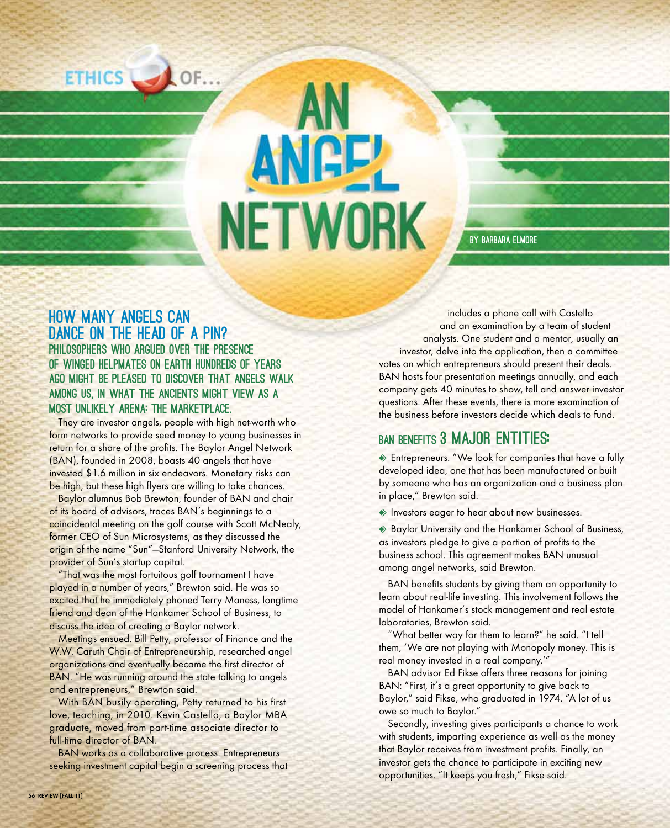

# **NETWORK**

by Barbara Elmore

### How many angels can DANCE ON THE HEAD OF A PIN? Philosophers who argued over the presence of winged helpmates on Earth hundreds of years ago might be pleased to discover that angels walk among us, in what the ancients might view as a most unlikely arena: the marketplace.

They are investor angels, people with high net-worth who form networks to provide seed money to young businesses in return for a share of the profits. The Baylor Angel Network (BAN), founded in 2008, boasts 40 angels that have invested \$1.6 million in six endeavors. Monetary risks can be high, but these high flyers are willing to take chances.

Baylor alumnus Bob Brewton, founder of BAN and chair of its board of advisors, traces BAN's beginnings to a coincidental meeting on the golf course with Scott McNealy, former CEO of Sun Microsystems, as they discussed the origin of the name "Sun"—Stanford University Network, the provider of Sun's startup capital.

"That was the most fortuitous golf tournament I have played in a number of years," Brewton said. He was so excited that he immediately phoned Terry Maness, longtime friend and dean of the Hankamer School of Business, to discuss the idea of creating a Baylor network.

Meetings ensued. Bill Petty, professor of Finance and the W.W. Caruth Chair of Entrepreneurship, researched angel organizations and eventually became the first director of BAN. "He was running around the state talking to angels and entrepreneurs," Brewton said.

With BAN busily operating, Petty returned to his first love, teaching, in 2010. Kevin Castello, a Baylor MBA graduate, moved from part-time associate director to full-time director of BAN.

BAN works as a collaborative process. Entrepreneurs seeking investment capital begin a screening process that

includes a phone call with Castello and an examination by a team of student analysts. One student and a mentor, usually an investor, delve into the application, then a committee votes on which entrepreneurs should present their deals. BAN hosts four presentation meetings annually, and each company gets 40 minutes to show, tell and answer investor questions. After these events, there is more examination of the business before investors decide which deals to fund.

## BAN BENEFITS 3 MAJOR ENTITIES:

 $\bullet$  Entrepreneurs. "We look for companies that have a fully developed idea, one that has been manufactured or built by someone who has an organization and a business plan in place," Brewton said.

 $\leftrightarrow$  Investors eager to hear about new businesses.

◆ Baylor University and the Hankamer School of Business, as investors pledge to give a portion of profits to the business school. This agreement makes BAN unusual among angel networks, said Brewton.

BAN benefits students by giving them an opportunity to learn about real-life investing. This involvement follows the model of Hankamer's stock management and real estate laboratories, Brewton said.

"What better way for them to learn?" he said. "I tell them, 'We are not playing with Monopoly money. This is real money invested in a real company.'"

BAN advisor Ed Fikse offers three reasons for joining BAN: "First, it's a great opportunity to give back to Baylor," said Fikse, who graduated in 1974. "A lot of us owe so much to Baylor."

Secondly, investing gives participants a chance to work with students, imparting experience as well as the money that Baylor receives from investment profits. Finally, an investor gets the chance to participate in exciting new opportunities. "It keeps you fresh," Fikse said.